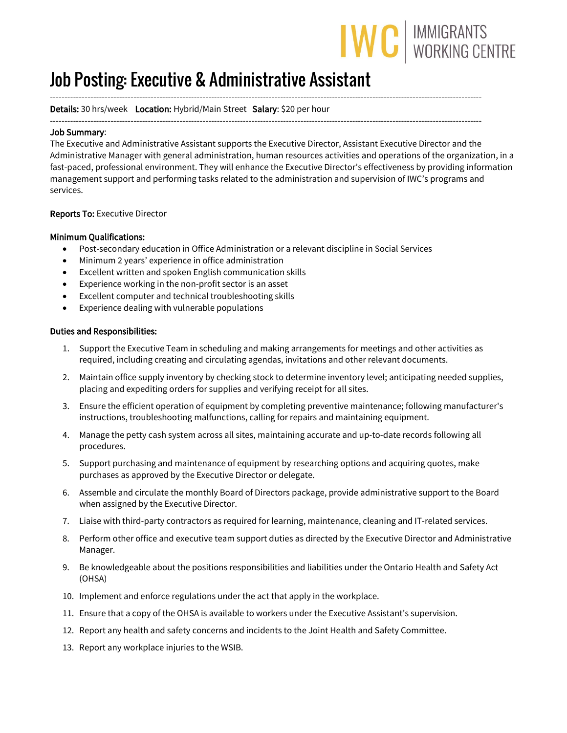# IWC | IMMIGRANTS

## Job Posting: Executive & Administrative Assistant

#### ------------------------------------------------------------------------------------------------------------------------------------------------------ Details: 30 hrs/week Location: Hybrid/Main Street Salary: \$20 per hour

------------------------------------------------------------------------------------------------------------------------------------------------------

#### Job Summary:

The Executive and Administrative Assistant supports the Executive Director, Assistant Executive Director and the Administrative Manager with general administration, human resources activities and operations of the organization, in a fast-paced, professional environment. They will enhance the Executive Director's effectiveness by providing information management support and performing tasks related to the administration and supervision of IWC's programs and services.

#### Reports To: Executive Director

#### Minimum Qualifications:

- Post-secondary education in Office Administration or a relevant discipline in Social Services
- Minimum 2 years' experience in office administration
- Excellent written and spoken English communication skills
- Experience working in the non-profit sector is an asset
- Excellent computer and technical troubleshooting skills
- Experience dealing with vulnerable populations

#### Duties and Responsibilities:

- 1. Support the Executive Team in scheduling and making arrangements for meetings and other activities as required, including creating and circulating agendas, invitations and other relevant documents.
- 2. Maintain office supply inventory by checking stock to determine inventory level; anticipating needed supplies, placing and expediting orders for supplies and verifying receipt for all sites.
- 3. Ensure the efficient operation of equipment by completing preventive maintenance; following manufacturer's instructions, troubleshooting malfunctions, calling for repairs and maintaining equipment.
- 4. Manage the petty cash system across all sites, maintaining accurate and up-to-date records following all procedures.
- 5. Support purchasing and maintenance of equipment by researching options and acquiring quotes, make purchases as approved by the Executive Director or delegate.
- 6. Assemble and circulate the monthly Board of Directors package, provide administrative support to the Board when assigned by the Executive Director.
- 7. Liaise with third-party contractors as required for learning, maintenance, cleaning and IT-related services.
- 8. Perform other office and executive team support duties as directed by the Executive Director and Administrative Manager.
- 9. Be knowledgeable about the positions responsibilities and liabilities under the Ontario Health and Safety Act (OHSA)
- 10. Implement and enforce regulations under the act that apply in the workplace.
- 11. Ensure that a copy of the OHSA is available to workers under the Executive Assistant's supervision.
- 12. Report any health and safety concerns and incidents to the Joint Health and Safety Committee.
- 13. [Report any workplace in](http://www.wsib.on.ca/en/community/WSIB/230/ArticleDetail/24338?vgnextoid=c15ae35c819d7210VgnVCM100000449c710aRCRD)juries to the WSIB.